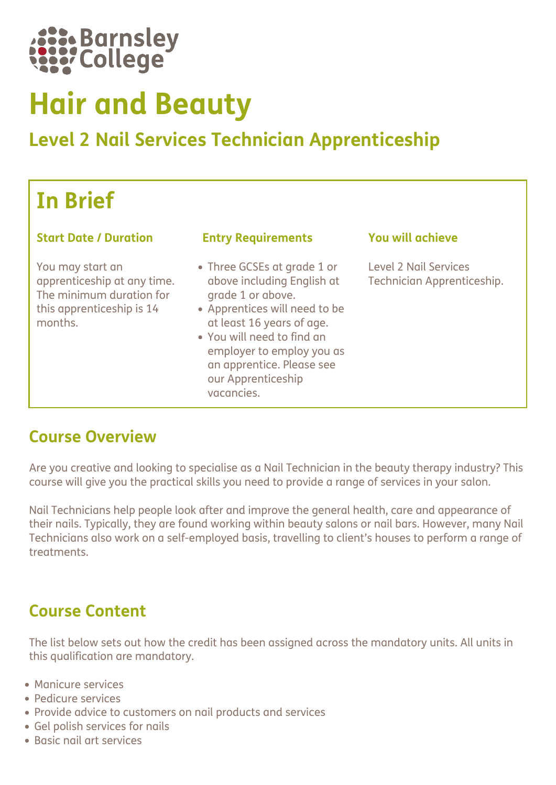

# Hair and Beauty

# Level 2 Nail Services Technician Apprenticeship

# In Brief

#### Start Date / Duration Entry Requirements You will achieve

You may start an apprenticeship at any time. The minimum duration for this apprenticeship is 14 months.

- Three GCSEs at grade 1 or above including English at grade 1 or above.
- Apprentices will need to be at least 16 years of age.
- You will need to find an employer to employ you as an apprentice. Please see our Apprenticeship vacancies.

Level 2 Nail Services Technician Apprenticeship.

# Course Overview

Are you creative and looking to specialise as a Nail Technician in the beauty therapy industry? This course will give you the practical skills you need to provide a range of services in your salon.

Nail Technicians help people look after and improve the general health, care and appearance of their nails. Typically, they are found working within beauty salons or nail bars. However, many Nail Technicians also work on a self-employed basis, travelling to client's houses to perform a range of treatments.

# Course Content

The list below sets out how the credit has been assigned across the mandatory units. All units in this qualification are mandatory.

- Manicure services
- Pedicure services
- Provide advice to customers on nail products and services
- Gel polish services for nails
- Basic nail art services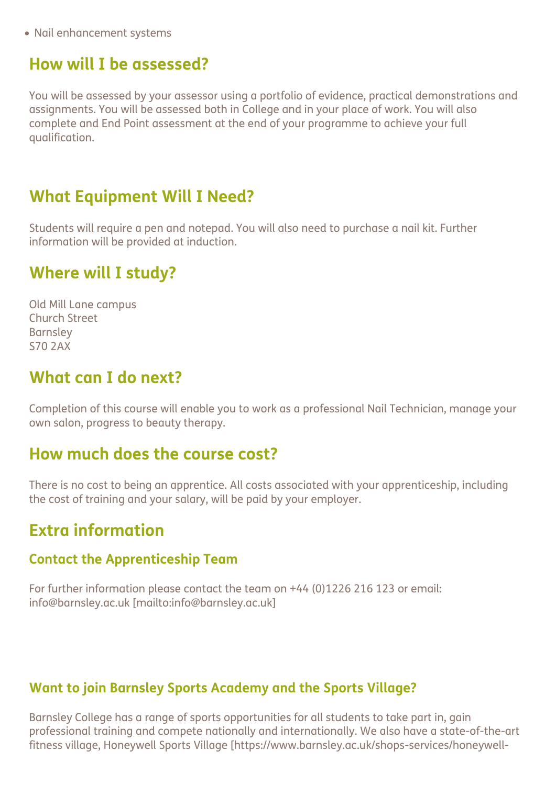Nail enhancement systems

# How will I be assessed?

You will be assessed by your assessor using a portfolio of evidence, practical demonstrations and assignments. You will be assessed both in College and in your place of work. You will also complete and End Point assessment at the end of your programme to achieve your full qualification.

# What Equipment Will I Need?

Students will require a pen and notepad. You will also need to purchase a nail kit. Further information will be provided at induction.

# Where will I study?

Old Mill Lane campus Church Street Barnsley S70 2AX

# What can I do next?

Completion of this course will enable you to work as a professional Nail Technician, manage your own salon, progress to beauty therapy.

### How much does the course cost?

There is no cost to being an apprentice. All costs associated with your apprenticeship, including the cost of training and your salary, will be paid by your employer.

# Extra information

#### Contact the Apprenticeship Team

For further information please contact the team on +44 (0)1226 216 123 or email: info@barnsley.ac.uk [mailto:info@barnsley.ac.uk]

#### Want to join Barnsley Sports Academy and the Sports Village?

Barnsley College has a range of sports opportunities for all students to take part in, gain professional training and compete nationally and internationally. We also have a state-of-the-art fitness village, Honeywell Sports Village [https://www.barnsley.ac.uk/shops-services/honeywell